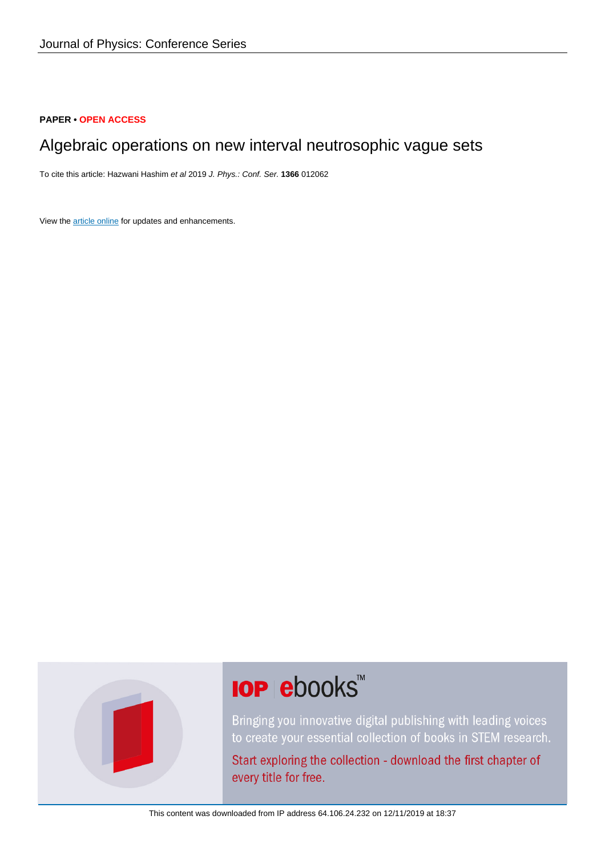# **PAPER • OPEN ACCESS**

# Algebraic operations on new interval neutrosophic vague sets

To cite this article: Hazwani Hashim et al 2019 J. Phys.: Conf. Ser. **1366** 012062

View the [article online](https://doi.org/10.1088/1742-6596/1366/1/012062) for updates and enhancements.



# **IOP ebooks™**

Bringing you innovative digital publishing with leading voices to create your essential collection of books in STEM research.

Start exploring the collection - download the first chapter of every title for free.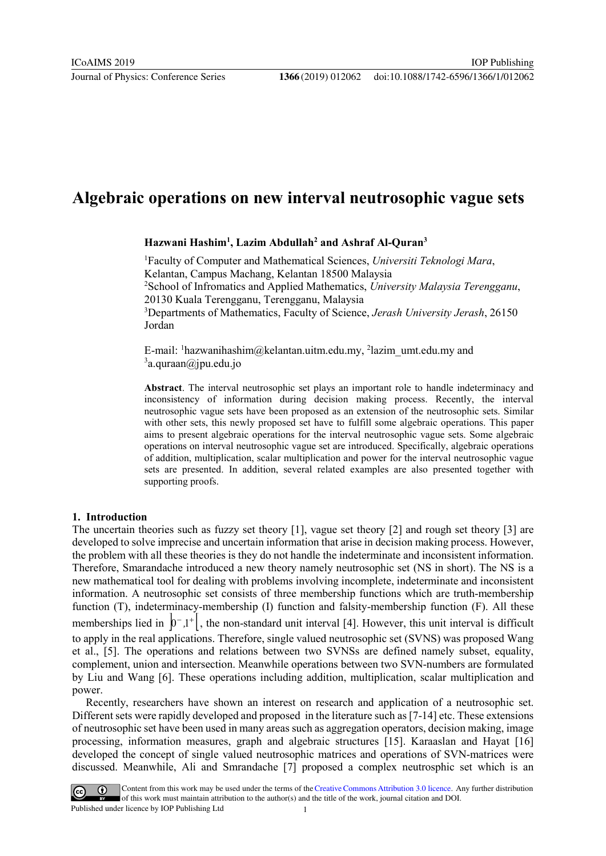# **Algebraic operations on new interval neutrosophic vague sets**

# **Hazwani Hashim1 , Lazim Abdullah2 and Ashraf Al-Quran3**

1 Faculty of Computer and Mathematical Sciences, *Universiti Teknologi Mara*, Kelantan, Campus Machang, Kelantan 18500 Malaysia 2 School of Infromatics and Applied Mathematics, *University Malaysia Terengganu*, 20130 Kuala Terengganu, Terengganu, Malaysia 3 Departments of Mathematics, Faculty of Science, *Jerash University Jerash*, 26150 Jordan

E-mail: <sup>1</sup>[hazwanihashim@kelantan.uitm.edu.my,](mailto:hazwanihashim@kelantan.uitm.edu.my) <sup>2</sup>lazim\_umt.edu.my and <sup>3</sup>a.quraan@jpu.edu.jo

**Abstract**. The interval neutrosophic set plays an important role to handle indeterminacy and inconsistency of information during decision making process. Recently, the interval neutrosophic vague sets have been proposed as an extension of the neutrosophic sets. Similar with other sets, this newly proposed set have to fulfill some algebraic operations. This paper aims to present algebraic operations for the interval neutrosophic vague sets. Some algebraic operations on interval neutrosophic vague set are introduced. Specifically, algebraic operations of addition, multiplication, scalar multiplication and power for the interval neutrosophic vague sets are presented. In addition, several related examples are also presented together with supporting proofs.

# **1. Introduction**

The uncertain theories such as fuzzy set theory [1], vague set theory [2] and rough set theory [3] are developed to solve imprecise and uncertain information that arise in decision making process. However, the problem with all these theories is they do not handle the indeterminate and inconsistent information. Therefore, Smarandache introduced a new theory namely neutrosophic set (NS in short). The NS is a new mathematical tool for dealing with problems involving incomplete, indeterminate and inconsistent information. A neutrosophic set consists of three membership functions which are truth-membership function (T), indeterminacy-membership (I) function and falsity-membership function (F). All these memberships lied in  $\left| 0^{-1} \right|$ , the non-standard unit interval [4]. However, this unit interval is difficult to apply in the real applications. Therefore, single valued neutrosophic set (SVNS) was proposed Wang et al., [5]. The operations and relations between two SVNSs are defined namely subset, equality, complement, union and intersection. Meanwhile operations between two SVN-numbers are formulated by Liu and Wang [6]. These operations including addition, multiplication, scalar multiplication and power.

Recently, researchers have shown an interest on research and application of a neutrosophic set. Different sets were rapidly developed and proposed in the literature such as [7-14] etc. These extensions of neutrosophic set have been used in many areas such as aggregation operators, decision making, image processing, information measures, graph and algebraic structures [15]. Karaaslan and Hayat [16] developed the concept of single valued neutrosophic matrices and operations of SVN-matrices were discussed. Meanwhile, Ali and Smrandache [7] proposed a complex neutrosphic set which is an

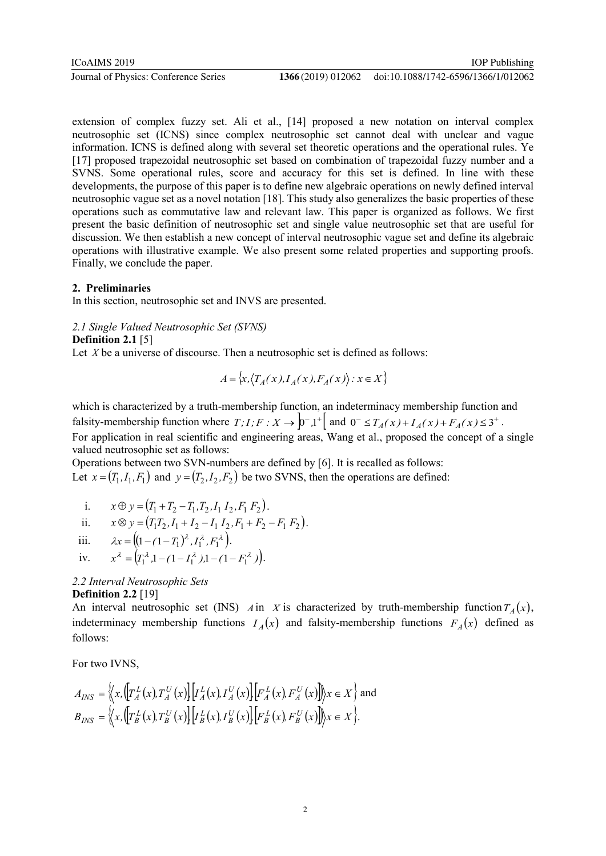extension of complex fuzzy set. Ali et al., [14] proposed a new notation on interval complex neutrosophic set (ICNS) since complex neutrosophic set cannot deal with unclear and vague information. ICNS is defined along with several set theoretic operations and the operational rules. Ye [17] proposed trapezoidal neutrosophic set based on combination of trapezoidal fuzzy number and a SVNS. Some operational rules, score and accuracy for this set is defined. In line with these developments, the purpose of this paper is to define new algebraic operations on newly defined interval neutrosophic vague set as a novel notation [18]. This study also generalizes the basic properties of these operations such as commutative law and relevant law. This paper is organized as follows. We first present the basic definition of neutrosophic set and single value neutrosophic set that are useful for discussion. We then establish a new concept of interval neutrosophic vague set and define its algebraic operations with illustrative example. We also present some related properties and supporting proofs. Finally, we conclude the paper.

# **2. Preliminaries**

In this section, neutrosophic set and INVS are presented.

*2.1 Single Valued Neutrosophic Set (SVNS)*

# **Definition 2.1** [5]

Let *X* be a universe of discourse. Then a neutrosophic set is defined as follows:

$$
A = \{x, \langle T_A(x), I_A(x), F_A(x) \rangle : x \in X\}
$$

which is characterized by a truth-membership function, an indeterminacy membership function and falsity-membership function where  $T, I, F : X \to \int_0^1 1^+ \left[ \text{ and } 0^- \le T_A(x) + I_A(x) + F_A(x) \le 3^+ \right]$ . For application in real scientific and engineering areas, Wang et al., proposed the concept of a single valued neutrosophic set as follows:

Operations between two SVN-numbers are defined by [6]. It is recalled as follows: Let  $x = (T_1, I_1, F_1)$  and  $y = (T_2, I_2, F_2)$  be two SVNS, then the operations are defined:

i. 
$$
x \oplus y = (T_1 + T_2 - T_1, T_2, I_1 I_2, F_1 F_2).
$$

ii. 
$$
x \otimes y = (T_1 T_2, I_1 + I_2 - I_1 I_2, F_1 + F_2 - F_1 F_2).
$$

iii. 
$$
\lambda x = ((1 - (1 - T_1)^{\lambda}, I_1^{\lambda}, F_1^{\lambda})).
$$

iv. 
$$
x^{\lambda} = (T_1^{\lambda} \cdot 1 - (1 - T_1^{\lambda}) \cdot 1 - (1 - F_1^{\lambda}) ).
$$

# *2.2 Interval Neutrosophic Sets* **Definition 2.2** [19]

An interval neutrosophic set (INS) *A* in *X* is characterized by truth-membership function  $T_A(x)$ , indeterminacy membership functions  $I_A(x)$  and falsity-membership functions  $F_A(x)$  defined as follows:

For two IVNS,

$$
A_{INS} = \left\langle x, \left( \left[ T_A^L(x), T_A^U(x) \right] \left[ I_A^L(x), I_A^U(x) \right] \left[ F_A^L(x), F_A^U(x) \right] \right) \rangle x \in X \right\rangle \text{ and}
$$
  
\n
$$
B_{INS} = \left\langle x, \left( \left[ T_B^L(x), T_B^U(x) \right] \left[ I_B^L(x), I_B^U(x) \right] \left[ F_B^L(x), F_B^U(x) \right] \right) \rangle x \in X \right\rbrace.
$$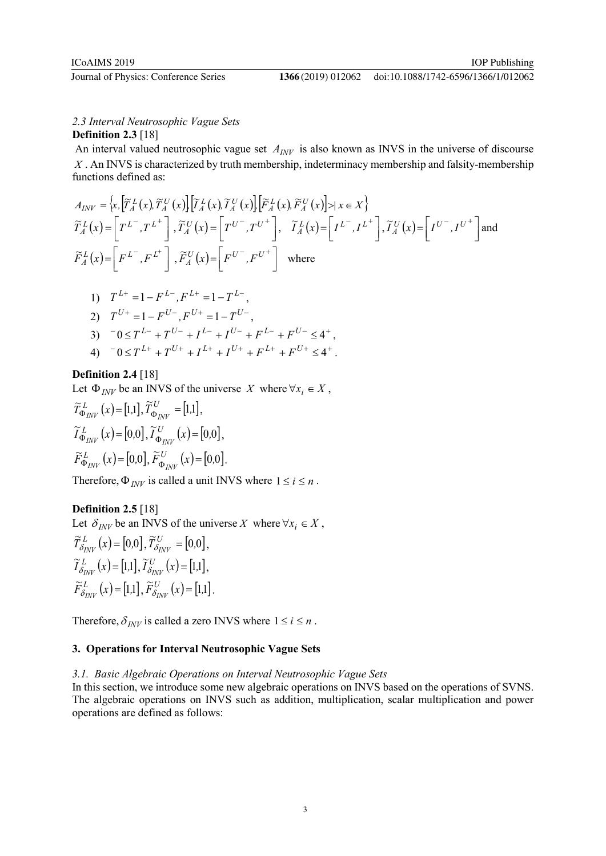# doi:10.1088/1742-6596/1366/1/012062

# *2.3 Interval Neutrosophic Vague Sets* **Definition 2.3** [18]

An interval valued neutrosophic vague set  $A_{\text{INV}}$  is also known as INVS in the universe of discourse *X* . An INVS is characterized by truth membership, indeterminacy membership and falsity-membership functions defined as:

$$
A_{INV} = \left\{ x, \left[ \widetilde{T}_{A}^{L}(x), \widetilde{T}_{A}^{U}(x) \right] \left[ \widetilde{T}_{A}^{L}(x), \widetilde{T}_{A}^{U}(x) \right] \left[ \widetilde{F}_{A}^{L}(x), \widetilde{F}_{A}^{U}(x) \right] > | x \in X \right\}
$$
  

$$
\widetilde{T}_{A}^{L}(x) = \left[ T^{L^{-}}, T^{L^{+}} \right], \widetilde{T}_{A}^{U}(x) = \left[ T^{U^{-}}, T^{U^{+}} \right], \widetilde{T}_{A}^{L}(x) = \left[ I^{L^{-}}, I^{L^{+}} \right], \widetilde{T}_{A}^{U}(x) = \left[ I^{U^{-}}, I^{U^{+}} \right] \text{and}
$$
  

$$
\widetilde{F}_{A}^{L}(x) = \left[ F^{L^{-}}, F^{L^{+}} \right], \widetilde{F}_{A}^{U}(x) = \left[ F^{U^{-}}, F^{U^{+}} \right] \text{ where}
$$

1) 
$$
T^{L+} = 1 - F^{L-}
$$
,  $F^{L+} = 1 - T^{L-}$ ,  
\n2)  $T^{U+} = 1 - F^{U-}$ ,  $F^{U+} = 1 - T^{U-}$ ,  
\n3)  $-0 \le T^{L-} + T^{U-} + I^{L-} + I^{U-} + F^{L-} + F^{U-} \le 4^+$ ,  
\n4)  $-0 \le T^{L+} + T^{U+} + I^{L+} + I^{U+} + F^{L+} + F^{U+} \le 4^+$ .

# **Definition 2.4** [18]

Let  $\Phi_{J\!N\!V}$  be an INVS of the universe *X* where  $\forall x_i \in X$ ,

$$
\widetilde{T}^{L}_{\Phi_{INV}}(x) = [1,1], \widetilde{T}^{U}_{\Phi_{INV}} = [1,1], \n\widetilde{I}^{L}_{\Phi_{INV}}(x) = [0,0], \widetilde{I}^{U}_{\Phi_{INV}}(x) = [0,0], \n\widetilde{F}^{L}_{\Phi_{INV}}(x) = [0,0], \widetilde{F}^{U}_{\Phi_{INV}}(x) = [0,0].
$$

Therefore,  $\Phi_{INV}$  is called a unit INVS where  $1 \le i \le n$ .

# **Definition 2.5** [18]

Let  $\delta_{I\!N\!V}$  be an INVS of the universe *X* where  $\forall x_i \in X$ ,

$$
\widetilde{T}^L_{\delta_{INV}}(x) = [0,0], \widetilde{T}^U_{\delta_{INV}} = [0,0], \widetilde{I}^L_{\delta_{INV}}(x) = [1,1], \widetilde{I}^U_{\delta_{INV}}(x) = [1,1], \widetilde{F}^L_{\delta_{INV}}(x) = [1,1], \widetilde{F}^U_{\delta_{INV}}(x) = [1,1].
$$

Therefore,  $\delta_{INV}$  is called a zero INVS where  $1 \le i \le n$ .

# **3. Operations for Interval Neutrosophic Vague Sets**

# *3.1. Basic Algebraic Operations on Interval Neutrosophic Vague Sets*

In this section, we introduce some new algebraic operations on INVS based on the operations of SVNS. The algebraic operations on INVS such as addition, multiplication, scalar multiplication and power operations are defined as follows: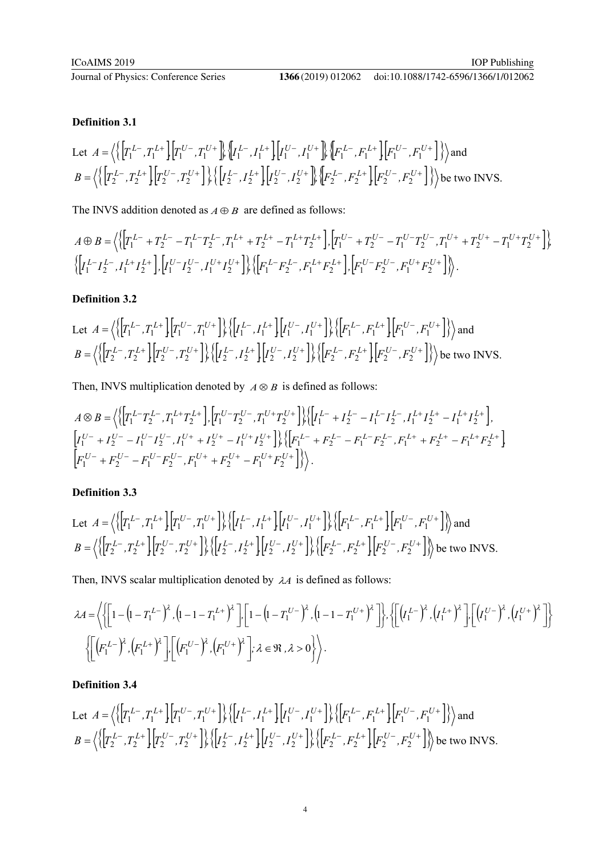# **Definition 3.1**

Let 
$$
A = \left\langle \left\{ \left[ T_1^{L-}, T_1^{L+} \right] \left[ T_1^{U-}, T_1^{U+} \right] \right\} \left\{ I_1^{L-}, I_1^{L+} \right\} \left[ I_1^{U-}, I_1^{U+} \right] \right\} \left\{ F_1^{L-}, F_1^{L+} \right\} \left[ F_1^{U-}, F_1^{U+} \right] \right\} \rangle
$$
 and  
\n
$$
B = \left\langle \left\{ \left[ T_2^{L-}, T_2^{L+} \right] \left[ T_2^{U-}, T_2^{U+} \right] \right\} \left\{ \left[ I_2^{L-}, I_2^{L+} \right] \left[ I_2^{U-}, I_2^{U+} \right] \right\} \left\{ F_2^{L-}, F_2^{L+} \right\} \left[ F_2^{U-}, F_2^{U+} \right] \right\} \rangle
$$
 be two INVS.

The INVS addition denoted as  $A \oplus B$  are defined as follows:

$$
A \oplus B = \left\langle \left\{ \left[ T_1^{L-} + T_2^{L-} - T_1^{L-} T_2^{L-}, T_1^{L+} + T_2^{L+} - T_1^{L+} T_2^{L+} \right], \left[ T_1^{U-} + T_2^{U-} - T_1^{U-} T_2^{U-}, T_1^{U+} + T_2^{U+} - T_1^{U+} T_2^{U+} \right] \right\} \rangle
$$
  

$$
\left\{ \left[ T_1^{L-} T_2^{L-}, T_1^{L+} T_2^{L+} \right], \left[ T_1^{U-} T_2^{U-}, T_1^{U+} T_2^{U+} \right] \right\} \rangle \left\{ \left[ F_1^{L-} F_2^{L-}, F_1^{L+} F_2^{L+} \right], \left[ F_1^{U-} F_2^{U-}, F_1^{U+} F_2^{U+} \right] \right\} \rangle.
$$

# **Definition 3.2**

Let 
$$
A = \left\langle \left\{ \left[ T_1^{L-}, T_1^{L+} \right] \left[ T_1^{U-}, T_1^{U+} \right] \right\} \left\{ \left[ I_1^{L-}, I_1^{L+} \right] \left[ I_1^{U-}, I_1^{U+} \right] \right\} \left\{ \left[ F_1^{L-}, F_1^{L+} \right] \left[ F_1^{U-}, F_1^{U+} \right] \right\} \right\rangle
$$
 and  
\n
$$
B = \left\langle \left\{ \left[ T_2^{L-}, T_2^{L+} \right] \left[ T_2^{U-}, T_2^{U+} \right] \right\} \left\{ \left[ I_2^{L-}, I_2^{L+} \right] \left[ I_2^{U-}, I_2^{U+} \right] \right\} \left\{ \left[ F_2^{L-}, F_2^{L+} \right] \left[ F_2^{U-}, F_2^{U+} \right] \right\} \right\rangle
$$
 be two INVS.

Then, INVS multiplication denoted by  $A \otimes B$  is defined as follows:

$$
A \otimes B = \left\langle \left\{ \left[ T_1^{L-} T_2^{L-}, T_1^{L+} T_2^{L+} \right], \left[ T_1^{U-} T_2^{U-}, T_1^{U+} T_2^{U+} \right] \right\} \right\rangle \left\{ \left[ I_1^{L-} + I_2^{L-} - I_1^{L-} I_2^{L-}, I_1^{L+} I_2^{L+} - I_1^{L+} I_2^{L+} \right],
$$
\n
$$
\left[ I_1^{U-} + I_2^{U-} - I_1^{U-} I_2^{U-}, I_1^{U+} + I_2^{U+} - I_1^{U+} I_2^{U+} \right] \right\rangle \left\{ \left[ F_1^{L-} + F_2^{L-} - F_1^{L-} F_2^{L-}, F_1^{L+} + F_2^{L+} - F_1^{L+} F_2^{L+} \right] \right\}
$$
\n
$$
\left[ F_1^{U-} + F_2^{U-} - F_1^{U-} F_2^{U-}, F_1^{U+} + F_2^{U+} - F_1^{U+} F_2^{U+} \right] \right\rangle \right\rangle.
$$

# **Definition 3.3**

Let 
$$
A = \left\{ \left\{ \left[ T_1^{L-}, T_1^{L+} \right] \left[ T_1^{U-}, T_1^{U+} \right] \right\} \left\{ \left[ I_1^{L-}, I_1^{L+} \right] \left[ I_1^{U-}, I_1^{U+} \right] \right\} \left\{ \left[ F_1^{L-}, F_1^{L+} \right] \left[ F_1^{U-}, F_1^{U+} \right] \right\} \right\}
$$
and
$$
B = \left\{ \left\{ \left[ T_2^{L-}, T_2^{L+} \right] \left[ T_2^{U-}, T_2^{U+} \right] \right\} \left\{ \left[ I_2^{L-}, I_2^{L+} \right] \left[ I_2^{U-}, I_2^{U+} \right] \right\} \left\{ \left[ F_2^{L-}, F_2^{L+} \right] \left[ F_2^{U-}, F_2^{U+} \right] \right\} \right\}
$$
be two INVS.

Then, INVS scalar multiplication denoted by λ*A* is defined as follows:

$$
\lambda A = \left\langle \left\{ \left[ 1 - \left( 1 - T_1^{L-} \right)^{\lambda}, \left( 1 - 1 - T_1^{L+} \right)^{\lambda} \right], \left[ 1 - \left( 1 - T_1^{U-} \right)^{\lambda}, \left( 1 - 1 - T_1^{U+} \right)^{\lambda} \right] \right\}, \left\{ \left[ \left( T_1^{L-} \right)^{\lambda}, \left( T_1^{L+} \right)^{\lambda} \right], \left[ \left( T_1^{U-} \right)^{\lambda}, \left( T_1^{U+} \right)^{\lambda} \right] \right\} \right\rangle
$$

$$
\left\{ \left[ \left( F_1^{L-} \right)^{\lambda}, \left( F_1^{L+} \right)^{\lambda} \right], \left[ \left( F_1^{U-} \right)^{\lambda}, \left( F_1^{U+} \right)^{\lambda} \right], \lambda \in \mathfrak{R}, \lambda > 0 \right\} \right\rangle.
$$

# **Definition 3.4**

Let 
$$
A = \left\langle \left\{ \left[ T_1^{L-}, T_1^{L+} \right] \left[ T_1^{U-}, T_1^{U+} \right] \right\} \left\{ \left[ I_1^{L-}, I_1^{L+} \right] \left[ I_1^{U-}, I_1^{U+} \right] \right\} \left\{ \left[ F_1^{L-}, F_1^{L+} \right] \left[ F_1^{U-}, F_1^{U+} \right] \right\} \right\rangle
$$
and  
\n
$$
B = \left\langle \left\{ \left[ T_2^{L-}, T_2^{L+} \right] \left[ T_2^{U-}, T_2^{U+} \right] \right\} \left\{ \left[ I_2^{L-}, I_2^{L+} \right] \left[ I_2^{U-}, I_2^{U+} \right] \right\} \left\{ \left[ F_2^{L-}, F_2^{L+} \right] \left[ F_2^{U-}, F_2^{U+} \right] \right\} \right\rangle
$$
 be two INVS.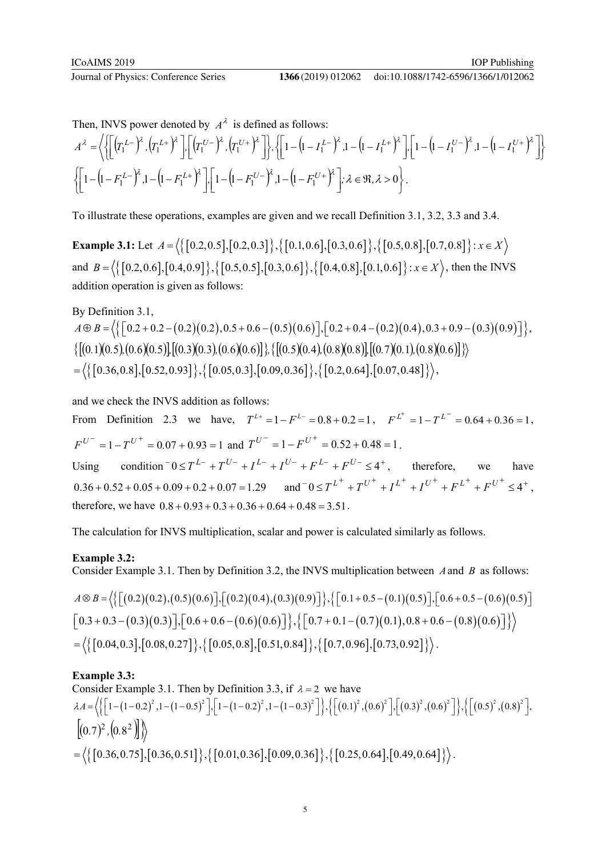doi:10.1088/1742-6596/1366/1/012062

Then, INVS power denoted by  $A^{\lambda}$  is defined as follows:

$$
A^{\lambda} = \left\langle \left\{ \left[ \left( T_1^{L-} \right)^{\lambda}, \left( T_1^{L+} \right)^{\lambda} \right], \left[ \left( T_1^{U-} \right)^{\lambda}, \left( T_1^{U+} \right)^{\lambda} \right] \right\}, \left\{ \left[ 1 - \left( 1 - T_1^{L-} \right)^{\lambda}, 1 - \left( 1 - T_1^{L+} \right)^{\lambda} \right], \left[ 1 - \left( 1 - T_1^{U-} \right)^{\lambda}, 1 - \left( 1 - T_1^{U+} \right)^{\lambda} \right] \right\} \right\rangle
$$
  

$$
\left\{ \left[ 1 - \left( 1 - F_1^{L-} \right)^{\lambda}, 1 - \left( 1 - F_1^{L+} \right)^{\lambda} \right], \left[ 1 - \left( 1 - F_1^{U-} \right)^{\lambda}, 1 - \left( 1 - F_1^{U+} \right)^{\lambda} \right], \lambda \in \mathbb{R}, \lambda > 0 \right\}.
$$

To illustrate these operations, examples are given and we recall Definition 3.1, 3.2, 3.3 and 3.4.

**Example 3.1:** Let  $A = \langle \{ [0.2, 0.5], [0.2, 0.3] \}, \{ [0.1, 0.6], [0.3, 0.6] \}, \{ [0.5, 0.8], [0.7, 0.8] \} : x \in X \rangle$ and  $B = \left\langle \{ [0.2, 0.6], [0.4, 0.9] \}, \{ [0.5, 0.5], [0.3, 0.6] \}, \{ [0.4, 0.8], [0.1, 0.6] \} : x \in X \right\rangle$ , then the INVS addition operation is given as follows:

By Definition 3.1,

 $A \oplus B = \left\langle \left\{ \begin{bmatrix} 0.2 + 0.2 - (0.2)(0.2), 0.5 + 0.6 - (0.5)(0.6) \end{bmatrix}, \begin{bmatrix} 0.2 + 0.4 - (0.2)(0.4), 0.3 + 0.9 - (0.3)(0.9) \end{bmatrix} \right\}$  $\{[(0.1)(0.5), (0.6)(0.5)], [(0.3)(0.3), (0.6)(0.6)], \{[(0.5)(0.4), (0.8)(0.8)], [(0.7)(0.1), (0.8)(0.6)]\}\}$  $=\langle \{ [0.36, 0.8], [0.52, 0.93] \}, \{ [0.05, 0.3], [0.09, 0.36] \}, [0.2, 0.64], [0.07, 0.48] \} \rangle,$ 

and we check the INVS addition as follows:

From Definition 2.3 we have,  $T^{L+} = 1 - F^{L-} = 0.8 + 0.2 = 1$ ,  $F^{L^+} = 1 - T^{L^-} = 0.64 + 0.36 = 1$ .  $F^{U^-} = 1 - T^{U^+} = 0.07 + 0.93 = 1$  and  $T^{U^-} = 1 - F^{U^+} = 0.52 + 0.48 = 1$ .

Using condition  $0 \le T^{L-} + T^{U-} + I^{L-} + I^{U-} + F^{L-} + F^{U-} \le 4^+$ , therefore, we have  $0.36 + 0.52 + 0.05 + 0.09 + 0.2 + 0.07 = 1.29$  and  $0.05 + T^{L^+} + T^{U^+} + T^{L^+} + T^{U^+} + T^{L^+} + T^{U^+} \leq 4^+$ , therefore, we have  $0.8 + 0.93 + 0.3 + 0.36 + 0.64 + 0.48 = 3.51$ .

The calculation for INVS multiplication, scalar and power is calculated similarly as follows.

# **Example 3.2:**

Consider Example 3.1. Then by Definition 3.2, the INVS multiplication between *A*and *B* as follows:

$$
A \otimes B = \left\langle \left\{ \left[ (0.2)(0.2), (0.5)(0.6) \right], \left[ (0.2)(0.4), (0.3)(0.9) \right] \right\}, \left\{ \left[ 0.1 + 0.5 - (0.1)(0.5) \right], \left[ 0.6 + 0.5 - (0.6)(0.5) \right] \right\} \right\rangle
$$
  
\n
$$
\left[ 0.3 + 0.3 - (0.3)(0.3) \right], \left[ 0.6 + 0.6 - (0.6)(0.6) \right], \left\{ \left[ 0.7 + 0.1 - (0.7)(0.1), 0.8 + 0.6 - (0.8)(0.6) \right] \right\} \right\rangle
$$
  
\n
$$
= \left\langle \left\{ \left[ 0.04, 0.3 \right], \left[ 0.08, 0.27 \right] \right\}, \left\{ \left[ 0.05, 0.8 \right], \left[ 0.51, 0.84 \right] \right\}, \left\{ \left[ 0.7, 0.96 \right], \left[ 0.73, 0.92 \right] \right\} \right\rangle.
$$

# **Example 3.3:**

Consider Example 3.1. Then by Definition 3.3, if  $\lambda = 2$  we have  $\lambda A = \left\{ \left\{ \left[ 1 - \left( 1 - 0.2 \right)^2, 1 - \left( 1 - 0.5 \right)^2 \right], \left[ 1 - \left( 1 - 0.2 \right)^2, 1 - \left( 1 - 0.3 \right)^2 \right] \right\}, \left\{ \left[ \left( 0.1 \right)^2, \left( 0.6 \right)^2 \right], \left[ \left( 0.3 \right)^2, \left( 0.6 \right)^2 \right] \right\}, \left\{ \left[ \left( 0.5 \right)^2, \left( 0.8 \right)^2 \right], \left[ \left( 0.6 \right)^2, \left( 0.6 \$  $[(0.7)^2, (0.8^2)]$  $=\langle \{ [0.36, 0.75], [0.36, 0.51] \}, \{ [0.01, 0.36], [0.09, 0.36] \}, \{ [0.25, 0.64], [0.49, 0.64] \} \rangle.$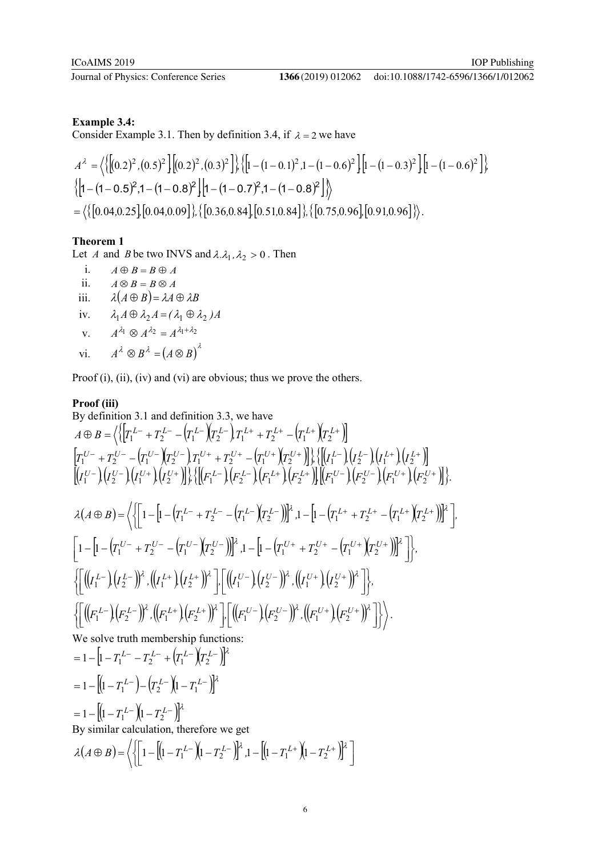# **Example 3.4:**

Consider Example 3.1. Then by definition 3.4, if  $\lambda = 2$  we have

$$
A^{\lambda} = \left\langle \left\{ \left[ (0.2)^2, (0.5)^2 \right] \left[ (0.2)^2, (0.3)^2 \right] \right\} \left\{ \left[ 1 - (1 - 0.1)^2, 1 - (1 - 0.6)^2 \right] \left[ 1 - (1 - 0.3)^2 \right] \left[ 1 - (1 - 0.6)^2 \right] \right\} \right\rangle
$$
  

$$
\left\{ \left[ 1 - (1 - 0.5)^2, 1 - (1 - 0.8)^2 \right] \left[ 1 - (1 - 0.7)^2, 1 - (1 - 0.8)^2 \right] \right\}
$$
  

$$
= \left\langle \left\{ \left[ 0.04, 0.25 \right] \left[ 0.04, 0.09 \right] \right\}, \left\{ \left[ 0.36, 0.84 \right] \left[ 0.51, 0.84 \right] \right\}, \left\{ \left[ 0.75, 0.96 \right] \left[ 0.91, 0.96 \right] \right\} \right\rangle.
$$

# **Theorem 1**

Let *A* and *B* be two INVS and  $\lambda \lambda_1, \lambda_2 > 0$ . Then<br>i.  $A \oplus B = B \oplus A$ 

i.  $A \oplus B = B \oplus A$ <br>ii.  $A \otimes B = B \otimes A$  $A \otimes B = B \otimes A$ iii.  $\lambda(A \oplus B) = \lambda A \oplus \lambda B$ iv.  $\lambda_1 A \oplus \lambda_2 A = (\lambda_1 \oplus \lambda_2) A$ v.  $A^{\lambda_1} \otimes A^{\lambda_2} = A^{\lambda_1 + \lambda_2}$ vi.  $A^{\lambda} \otimes B^{\lambda} = (A \otimes B)^{\lambda}$ 

Proof (i), (ii), (iv) and (vi) are obvious; thus we prove the others.

# **Proof (iii)**

By definition 3.1 and definition 3.3, we have  
\n
$$
A \oplus B = \left\langle \left\{ \left[ T_1^{L-} + T_2^{L-} - \left( T_1^{L-} \right) T_2^{L-} \right] T_1^{L+} + T_2^{L+} - \left( T_1^{L+} \right) T_2^{L+} \right\} \right\rangle
$$
\n
$$
\left[ T_1^{U-} + T_2^{U-} - \left( T_1^{U-} \right) T_2^{U-} \right] T_1^{U+} + T_2^{U+} - \left( T_1^{U+} \right) T_2^{U+} \right\rangle \right\rangle \left\{ \left[ \left( I_1^{L-} \right) \left( I_2^{L-} \right) \left( I_1^{L+} \right) \left( I_2^{L+} \right) \right\} \right\rangle
$$
\n
$$
\left[ I_1^{U-} \right) \left( I_2^{U-} \right) \left( I_1^{U+} \right) \left( I_2^{U+} \right) \right\rangle \left\{ \left[ \left( F_1^{L-} \right) \left( F_2^{L-} \right) \left( F_1^{L+} \right) \left( F_2^{L+} \right) \right\} \left\{ \left[ T_1^{U-} \right) \left( F_2^{U-} \right) \left( F_1^{U+} \right) \left( F_2^{U-} \right) \left( F_1^{U+} \right) \left( F_2^{U-} \right) \right\} \right\rangle
$$
\n
$$
\lambda(A \oplus B) = \left\langle \left\{ \left[ 1 - \left[ 1 - \left( T_1^{L-} + T_2^{L-} - \left( T_1^{L-} \right) T_2^{L-} \right) \right] \right\rangle^2 , 1 - \left[ 1 - \left( T_1^{L+} + T_2^{L+} - \left( T_1^{L+} \right) T_2^{L+} \right) \right] \right\rangle \right\rangle
$$
\n
$$
\left\{ \left[ \left( \left( I_1^{L-} \right) \left( I_2^{L-} \right) \right\rangle^2, \left( \left( I_1^{L+} \right) \left( I_2^{L+} \right) \right\rangle^2 \right] \right\} \left[ \left( \left( I_1^{U-
$$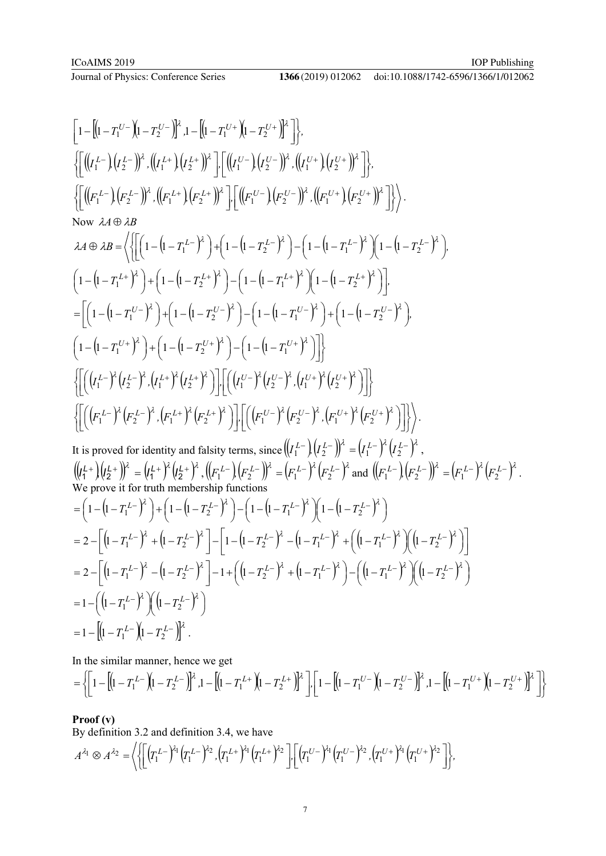doi:10.1088/1742-6596/1366/1/012062

$$
\begin{bmatrix}\n1-\left[(1-T_{1}^{U-1})(1-T_{2}^{U-1})\right]^{2} \cdot 1-\left[(1-T_{1}^{U+1})(1-T_{2}^{U+1})\right]^{2} \cdot \frac{1}{2}\n\end{bmatrix}, \\
\left[\left[\left((I_{1}^{L-1})(I_{2}^{L-1})\right) ^{2} \cdot ((I_{1}^{L+1})(I_{2}^{L+1})\right) ^{2} \cdot \left[(I_{1}^{U-1})(I_{2}^{U-1})\right) ^{2} \cdot ((I_{1}^{U+1})(I_{2}^{U+1})\right]^{2} \cdot \right], \\
\left[\left((F_{1}^{L-1})(F_{2}^{L-1})\right) ^{2} \cdot ((F_{1}^{L+1})(F_{2}^{L+1})\right) ^{2} \cdot \left[\left[(F_{1}^{U-1})(F_{2}^{U-1})\right) ^{2} \cdot ((F_{1}^{U+1})(F_{2}^{U+1})\right]^{2} \right]\right), \\
Now \lambda A \oplus \lambda B = \left\langle \left\{\left[\left(1-(1-T_{1}^{L-1})^{2} \right) + \left(1-(1-T_{2}^{L-1})^{2} \right) - \left(1-(1-T_{1}^{L-1})^{2} \right) \left(1-(1-T_{2}^{L-1})^{2} \right) \right] \cdot \right.\n\left.\left[\left(1-(1-T_{1}^{U-1})^{2} \right) + \left(1-(1-T_{2}^{U-1})^{2} \right) - \left(1-(1-T_{1}^{U-1})^{2} \right) \left(1-(1-T_{2}^{U-1})^{2} \right) \right]\right] \\
=\left[\left(1-(1-T_{1}^{U-1})^{2} \right) + \left(1-(1-T_{2}^{U-1})^{2} \right) - \left(1-(1-T_{1}^{U-1})^{2} \right) \right] + \left(1-(1-T_{2}^{U-1})^{2} \right)\right]. \\
\left[\left[\left((I_{1}^{L-1})^{2} \cdot (I_{2}^{L-1})^{2} \cdot (I_{1}^{L+1})^{2} (I_{2}^{L+1})^{2} \right) - \left[(1-(1-T_{1}^{U-1})^{2} \right) \cdot (I_{1}^{U-1})^{2} \right] \cdot \right]\right\rangle.
$$
\nIt is proved

In the similar manner, hence we get

$$
= \left\{ \left[1 - \left[ \left(1 - T_1^{L-} \right) \left(1 - T_2^{L-} \right) \right]^2, 1 - \left[ \left(1 - T_1^{L+} \right) \left(1 - T_2^{L+} \right) \right]^2 \right], \left[1 - \left[ \left(1 - T_1^{U-} \right) \left(1 - T_2^{U-} \right) \right]^2, 1 - \left[ \left(1 - T_1^{U+} \right) \left(1 - T_2^{U+} \right) \right]^2 \right] \right\}
$$

# **Proof (v)**

By definition 3.2 and definition 3.4, we have

$$
A^{\lambda_1} \otimes A^{\lambda_2} = \left\langle \left\{ \left[ \left( T_1^{L-} \right)^{\lambda_1} \left( T_1^{L-} \right)^{\lambda_2}, \left( T_1^{L+} \right)^{\lambda_1} \left( T_1^{L+} \right)^{\lambda_2} \right], \left[ \left( T_1^{U-} \right)^{\lambda_1} \left( T_1^{U-} \right)^{\lambda_2}, \left( T_1^{U+} \right)^{\lambda_1} \left( T_1^{U+} \right)^{\lambda_2} \right] \right\rangle,
$$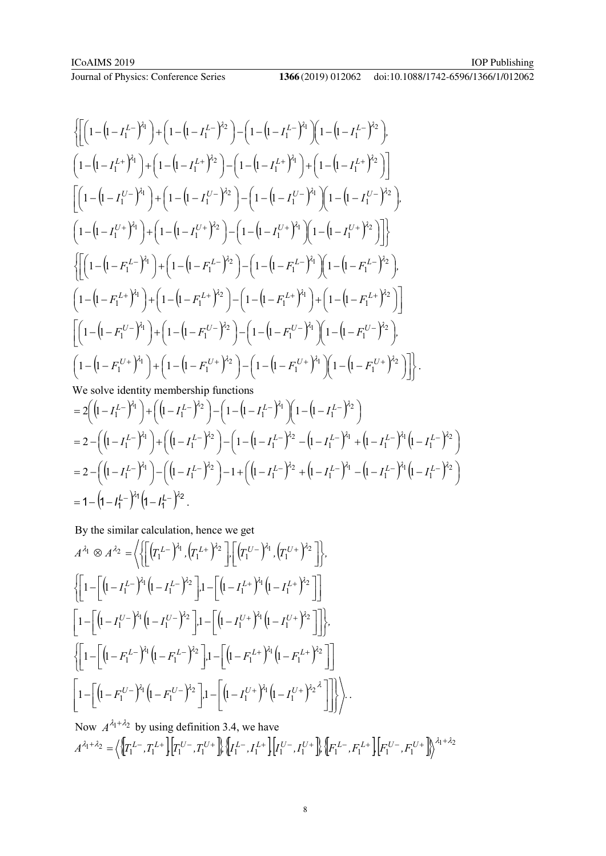Journal of Physics: Conference Series

$$
\begin{split}\n&\left\{\left[\left(1-\left(1-I_{1}^{L-}\right)^{\lambda_{1}}\right)+\left(1-\left(1-I_{1}^{L-}\right)^{\lambda_{2}}\right)-\left(1-\left(1-I_{1}^{L-}\right)^{\lambda_{1}}\right)\left(1-\left(1-I_{1}^{L-}\right)^{\lambda_{2}}\right)\right], \\
&\left(1-\left(1-I_{1}^{L+}\right)^{\lambda_{1}}\right)+\left(1-\left(1-I_{1}^{L+}\right)^{\lambda_{2}}\right)-\left(1-\left(1-I_{1}^{L+}\right)^{\lambda_{1}}\right)+\left(1-\left(1-I_{1}^{L+}\right)^{\lambda_{2}}\right)\right]\n\end{split}
$$
\n
$$
\begin{split}\n&\left[\left(1-\left(1-I_{1}^{U-}\right)^{\lambda_{1}}\right)+\left(1-\left(1-I_{1}^{U-}\right)^{\lambda_{2}}\right)-\left(1-\left(1-I_{1}^{U-}\right)^{\lambda_{1}}\right)\left(1-\left(1-I_{1}^{U-}\right)^{\lambda_{2}}\right)\right], \\
&\left(1-\left(1-I_{1}^{U+}\right)^{\lambda_{1}}\right)+\left(1-\left(1-I_{1}^{U+}\right)^{\lambda_{2}}\right)-\left(1-\left(1-I_{1}^{U+}\right)^{\lambda_{1}}\right)\left(1-\left(1-I_{1}^{U+}\right)^{\lambda_{2}}\right)\right]\n\end{split}
$$
\n
$$
\left\{\left[\left(1-\left(1-F_{1}^{L-}\right)^{\lambda_{1}}\right)+\left(1-\left(1-F_{1}^{L-}\right)^{\lambda_{2}}\right)-\left(1-\left(1-F_{1}^{L-}\right)^{\lambda_{1}}\right)\left(1-\left(1-F_{1}^{L-}\right)^{\lambda_{2}}\right)\right], \\
&\left(1-\left(1-F_{1}^{L+}\right)^{\lambda_{1}}\right)+\left(1-\left(1-F_{1}^{L+}\right)^{\lambda_{2}}\right)-\left(1-\left(1-F_{1}^{L+}\right)^{\lambda_{1}}\right)+\left(1-\left(1-F_{1}^{L+}\right)^{\lambda_{2}}\right)\right]\n\end{split}
$$
\n
$$
\left[\left(1-\left(1-F_{1}^{U-}\right)^{\lambda_{1}}\right)+\left(1-\left(1-F_{1}^{U-}\right)^{\lambda_{2}}\right)-
$$

$$
=2\left(\left(1-I_{1}^{L-}\right)^{\lambda_{1}}\right)+\left(\left(1-I_{1}^{L-}\right)^{\lambda_{2}}\right)-\left(1-\left(1-I_{1}^{L-}\right)^{\lambda_{1}}\right)\left(1-\left(1-I_{1}^{L-}\right)^{\lambda_{2}}\right)
$$
\n
$$
=2-\left(\left(1-I_{1}^{L-}\right)^{\lambda_{1}}\right)+\left(\left(1-I_{1}^{L-}\right)^{\lambda_{2}}\right)-\left(1-\left(1-I_{1}^{L-}\right)^{\lambda_{2}}-\left(1-I_{1}^{L-}\right)^{\lambda_{1}}+\left(1-I_{1}^{L-}\right)^{\lambda_{1}}\left(1-I_{1}^{L-}\right)^{\lambda_{2}}\right)
$$
\n
$$
=2-\left(\left(1-I_{1}^{L-}\right)^{\lambda_{1}}\right)-\left(\left(1-I_{1}^{L-}\right)^{\lambda_{2}}\right)-1+\left(\left(1-I_{1}^{L-}\right)^{\lambda_{2}}+\left(1-I_{1}^{L-}\right)^{\lambda_{1}}-\left(1-I_{1}^{L-}\right)^{\lambda_{1}}\left(1-I_{1}^{L-}\right)^{\lambda_{2}}\right)
$$
\n
$$
=1-\left(1-I_{1}^{L-}\right)^{\lambda_{1}}\left(1-I_{1}^{L-}\right)^{\lambda_{2}}.
$$

By the similar calculation, hence we get

$$
A^{\lambda_1} \otimes A^{\lambda_2} = \left\langle \left\{ \left[ \left( T_1^{L-} \right)^{\lambda_1}, \left( T_1^{L+} \right)^{\lambda_2} \right], \left[ \left( T_1^{U-} \right)^{\lambda_1}, \left( T_1^{U+} \right)^{\lambda_2} \right] \right\},\
$$
  

$$
\left\{ \left[ 1 - \left[ \left( 1 - I_1^{L-} \right)^{\lambda_1} \left( 1 - I_1^{L-} \right)^{\lambda_2} \right], 1 - \left[ \left( 1 - I_1^{L+} \right)^{\lambda_1} \left( 1 - I_1^{L+} \right)^{\lambda_2} \right] \right] \right\},\
$$
  

$$
\left[ 1 - \left[ \left( 1 - I_1^{U-} \right)^{\lambda_1} \left( 1 - I_1^{U-} \right)^{\lambda_2} \right], 1 - \left[ \left( 1 - I_1^{U+} \right)^{\lambda_1} \left( 1 - I_1^{U+} \right)^{\lambda_2} \right] \right]\right\},\
$$
  

$$
\left\{ \left[ 1 - \left[ \left( 1 - F_1^{L-} \right)^{\lambda_1} \left( 1 - F_1^{L-} \right)^{\lambda_2} \right], 1 - \left[ \left( 1 - F_1^{L+} \right)^{\lambda_1} \left( 1 - F_1^{L+} \right)^{\lambda_2} \right] \right]\right\}
$$
  

$$
\left[ 1 - \left[ \left( 1 - F_1^{U-} \right)^{\lambda_1} \left( 1 - F_1^{U-} \right)^{\lambda_2} \right], 1 - \left[ \left( 1 - I_1^{U+} \right)^{\lambda_1} \left( 1 - I_1^{U+} \right)^{\lambda_2} \right] \right] \right\} \right\}.
$$

Now  $A^{\lambda_1 + \lambda_2}$  by using definition 3.4, we have  $A^{\lambda_1+\lambda_2}=\left\langle \left\{ \!\!\left\{ T_1^{\,L-},T_1^{\,L+}\right\} \!\!\left\{ T_1^{\,U-},T_1^{\,U+}\right\} \!\!\right\} \!\left\{ \!I_1^{\,L-},I_1^{\,L+}\right\} \!\!\left\{ \!I_1^{\,U-},I_1^{\,U+}\right\} \!\!\left\{ \!F_1^{\,L-},F_1^{\,L+}\right\} \!\!\left\{ \!F_1^{\,U-},F_1^{\,U+}\right\} \!\!\right\}^{\lambda_1+\lambda_2}$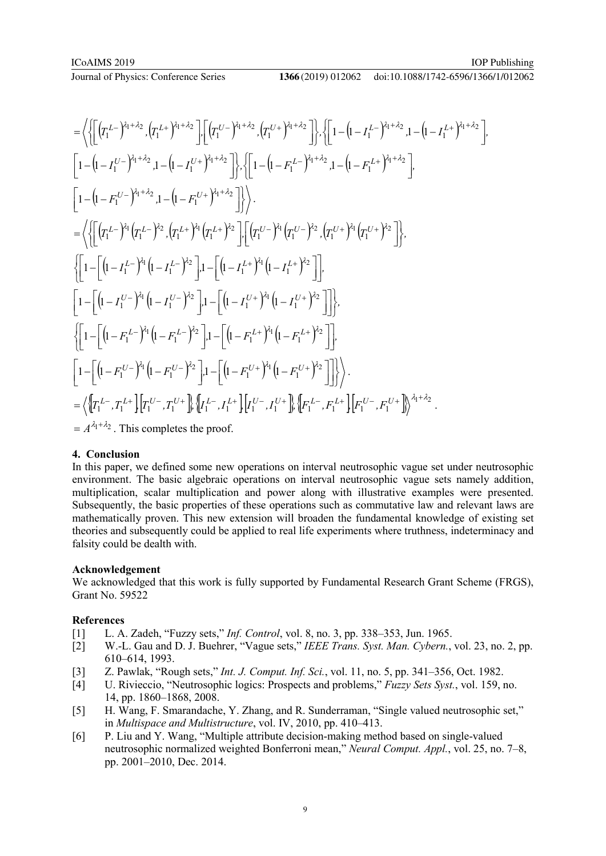#### doi:10.1088/1742-6596/1366/1/012062

$$
= \left\langle \left\{ \left[ (\tau_{1}^{L-})^{i_{1}+\lambda_{2}} , (\tau_{1}^{L+})^{i_{1}+\lambda_{2}} \right] , \left[ (\tau_{1}^{U-})^{i_{1}+\lambda_{2}} , (\tau_{1}^{U+})^{i_{1}+\lambda_{2}} \right] \right\}, \left\{ \left[ 1 - (1 - I_{1}^{L-})^{i_{1}+\lambda_{2}} , 1 - (1 - I_{1}^{L+})^{i_{1}+\lambda_{2}} \right] \right\} \right\rangle
$$
\n
$$
\left[ 1 - (1 - I_{1}^{U-})^{i_{1}+\lambda_{2}} , 1 - (1 - I_{1}^{U+})^{i_{1}+\lambda_{2}} \right] \right\rangle, \left\{ \left[ 1 - (1 - F_{1}^{L-})^{i_{1}+\lambda_{2}} , 1 - (1 - F_{1}^{L+})^{i_{1}+\lambda_{2}} \right] \right\rangle
$$
\n
$$
= \left\langle \left\{ \left[ (\tau_{1}^{L-})^{i_{1}} (\tau_{1}^{L-})^{i_{2}} , (\tau_{1}^{L+})^{i_{1}} (\tau_{1}^{L+})^{i_{2}} \right] \right\} \right\rangle.
$$
\n
$$
= \left\langle \left\{ \left[ (\tau_{1}^{L-})^{i_{1}} (\tau_{1}^{L-})^{i_{2}} , (\tau_{1}^{L+})^{i_{1}} (\tau_{1}^{L+})^{i_{2}} \right] \right\} \right\rangle.
$$
\n
$$
\left\{ \left[ 1 - \left[ (1 - I_{1}^{L-})^{i_{1}} (1 - I_{1}^{L-})^{i_{2}} \right] , 1 - \left[ (1 - I_{1}^{L+})^{i_{1}} (1 - I_{1}^{L+})^{i_{2}} \right] \right] \right\},
$$
\n
$$
\left\{ \left[ 1 - \left[ (1 - I_{1}^{U-})^{i_{1}} (1 - I_{1}^{U-})^{i_{2}} \right] , 1 - \left[ (1 - I_{1}^{U+})^{i_{1}} (1 - I_{1}^{U+})^{i_{2}} \right] \right] \right\},
$$
\n
$$
\left\{ \left[ 1 - \left[ (1 - I_{1}^{U-})^{i_{1}} (1 - I_{1}^{U-})^{i_{2}} \right] , 1 - \left[
$$

# **4. Conclusion**

In this paper, we defined some new operations on interval neutrosophic vague set under neutrosophic environment. The basic algebraic operations on interval neutrosophic vague sets namely addition, multiplication, scalar multiplication and power along with illustrative examples were presented. Subsequently, the basic properties of these operations such as commutative law and relevant laws are mathematically proven. This new extension will broaden the fundamental knowledge of existing set theories and subsequently could be applied to real life experiments where truthness, indeterminacy and falsity could be dealth with.

#### **Acknowledgement**

We acknowledged that this work is fully supported by Fundamental Research Grant Scheme (FRGS), Grant No. 59522

# **References**

- [1] L. A. Zadeh, "Fuzzy sets," *Inf. Control*, vol. 8, no. 3, pp. 338–353, Jun. 1965.
- [2] W.-L. Gau and D. J. Buehrer, "Vague sets," *IEEE Trans. Syst. Man. Cybern.*, vol. 23, no. 2, pp. 610–614, 1993.
- [3] Z. Pawlak, "Rough sets," *Int. J. Comput. Inf. Sci.*, vol. 11, no. 5, pp. 341–356, Oct. 1982.
- [4] U. Rivieccio, "Neutrosophic logics: Prospects and problems," *Fuzzy Sets Syst.*, vol. 159, no. 14, pp. 1860–1868, 2008.
- [5] H. Wang, F. Smarandache, Y. Zhang, and R. Sunderraman, "Single valued neutrosophic set," in *Multispace and Multistructure*, vol. IV, 2010, pp. 410–413.
- [6] P. Liu and Y. Wang, "Multiple attribute decision-making method based on single-valued neutrosophic normalized weighted Bonferroni mean," *Neural Comput. Appl.*, vol. 25, no. 7–8, pp. 2001–2010, Dec. 2014.